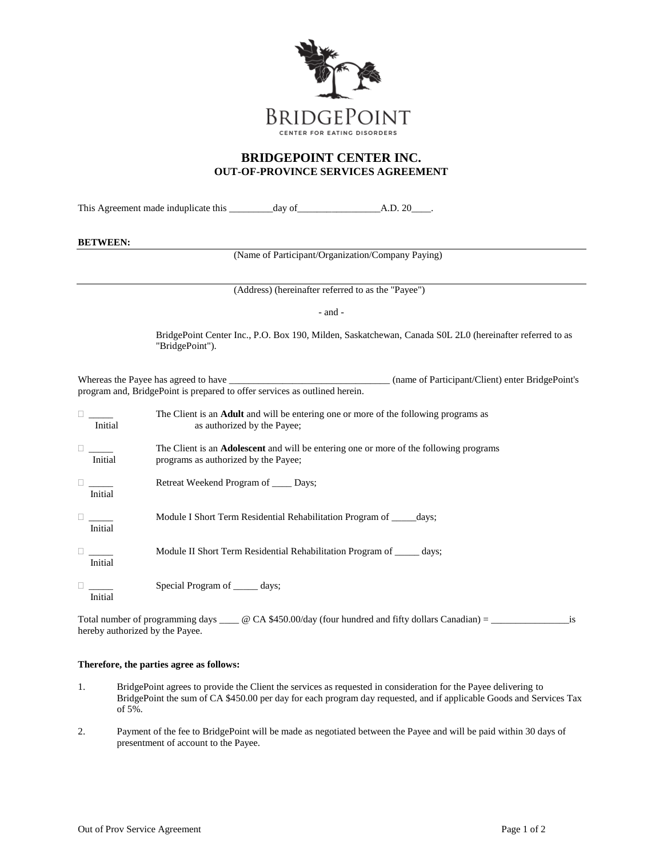

## **BRIDGEPOINT CENTER INC. OUT-OF-PROVINCE SERVICES AGREEMENT**

This Agreement made induplicate this \_\_\_\_\_\_\_\_\_day of\_\_\_\_\_\_\_\_\_\_\_\_\_\_\_\_\_A.D. 20\_\_\_\_.

## **BETWEEN:**

(Name of Participant/Organization/Company Paying)

(Address) (hereinafter referred to as the "Payee")

- and -

BridgePoint Center Inc., P.O. Box 190, Milden, Saskatchewan, Canada S0L 2L0 (hereinafter referred to as "BridgePoint").

Whereas the Payee has agreed to have \_\_\_\_\_\_\_\_\_\_\_\_\_\_\_\_\_\_\_\_\_\_\_\_\_\_\_\_\_\_\_\_\_\_\_ (name of Participant/Client) enter BridgePoint's program and, BridgePoint is prepared to offer services as outlined herein.

| Initial                         | The Client is an <b>Adult</b> and will be entering one or more of the following programs as<br>as authorized by the Payee;            |
|---------------------------------|---------------------------------------------------------------------------------------------------------------------------------------|
| Initial                         | The Client is an <b>Adolescent</b> and will be entering one or more of the following programs<br>programs as authorized by the Payee; |
| <b>Little Common</b><br>Initial | Retreat Weekend Program of ______ Days;                                                                                               |
| Initial                         | Module I Short Term Residential Rehabilitation Program of days;                                                                       |
| $\Box$<br>Initial               | Module II Short Term Residential Rehabilitation Program of days;                                                                      |
| Initial                         | Special Program of ______ days;                                                                                                       |

Total number of programming days \_\_\_\_ @ CA \$450.00/day (four hundred and fifty dollars Canadian) = \_\_\_\_\_\_\_\_\_\_\_\_\_\_\_\_\_is hereby authorized by the Payee.

## **Therefore, the parties agree as follows:**

- 1. BridgePoint agrees to provide the Client the services as requested in consideration for the Payee delivering to BridgePoint the sum of CA \$450.00 per day for each program day requested, and if applicable Goods and Services Tax of 5%.
- 2. Payment of the fee to BridgePoint will be made as negotiated between the Payee and will be paid within 30 days of presentment of account to the Payee.